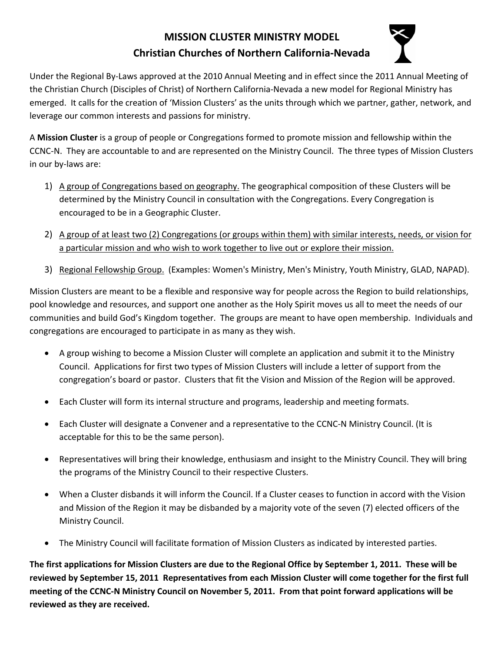## **MISSION CLUSTER MINISTRY MODEL Christian Churches of Northern California‐Nevada**



Under the Regional By‐Laws approved at the 2010 Annual Meeting and in effect since the 2011 Annual Meeting of the Christian Church (Disciples of Christ) of Northern California‐Nevada a new model for Regional Ministry has emerged. It calls for the creation of 'Mission Clusters' as the units through which we partner, gather, network, and leverage our common interests and passions for ministry.

A **Mission Cluster** is a group of people or Congregations formed to promote mission and fellowship within the CCNC‐N. They are accountable to and are represented on the Ministry Council. The three types of Mission Clusters in our by‐laws are:

- 1) A group of Congregations based on geography. The geographical composition of these Clusters will be determined by the Ministry Council in consultation with the Congregations. Every Congregation is encouraged to be in a Geographic Cluster.
- 2) A group of at least two (2) Congregations (or groups within them) with similar interests, needs, or vision for a particular mission and who wish to work together to live out or explore their mission.
- 3) Regional Fellowship Group. (Examples: Women's Ministry, Men's Ministry, Youth Ministry, GLAD, NAPAD).

Mission Clusters are meant to be a flexible and responsive way for people across the Region to build relationships, pool knowledge and resources, and support one another as the Holy Spirit moves us all to meet the needs of our communities and build God's Kingdom together. The groups are meant to have open membership. Individuals and congregations are encouraged to participate in as many as they wish.

- A group wishing to become a Mission Cluster will complete an application and submit it to the Ministry Council. Applications for first two types of Mission Clusters will include a letter of support from the congregation's board or pastor. Clusters that fit the Vision and Mission of the Region will be approved.
- Each Cluster will form its internal structure and programs, leadership and meeting formats.
- Each Cluster will designate a Convener and a representative to the CCNC‐N Ministry Council. (It is acceptable for this to be the same person).
- Representatives will bring their knowledge, enthusiasm and insight to the Ministry Council. They will bring the programs of the Ministry Council to their respective Clusters.
- When a Cluster disbands it will inform the Council. If a Cluster ceases to function in accord with the Vision and Mission of the Region it may be disbanded by a majority vote of the seven (7) elected officers of the Ministry Council.
- The Ministry Council will facilitate formation of Mission Clusters as indicated by interested parties.

The first applications for Mission Clusters are due to the Regional Office by September 1, 2011. These will be reviewed by September 15, 2011 Representatives from each Mission Cluster will come together for the first full meeting of the CCNC-N Ministry Council on November 5, 2011. From that point forward applications will be **reviewed as they are received.**